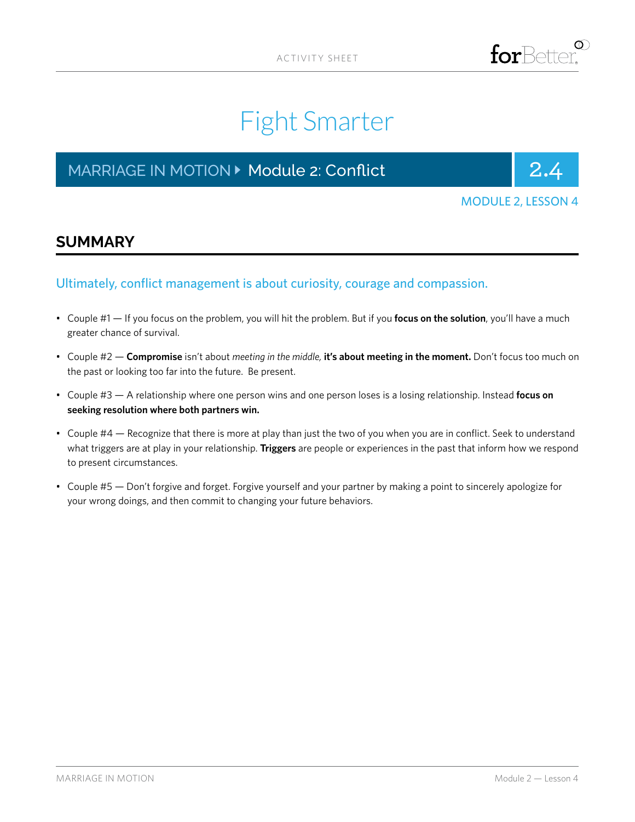

# Fight Smarter

# MARRIAGE IN MOTION **> Module 2: Conflict** 2.1 2.4



MODULE 2, LESSON 4

### **SUMMARY**

### Ultimately, conflict management is about curiosity, courage and compassion.

- Couple #1 If you focus on the problem, you will hit the problem. But if you **focus on the solution**, you'll have a much greater chance of survival.
- Couple #2 **Compromise** isn't about *meeting in the middle,* **it's about meeting in the moment.** Don't focus too much on the past or looking too far into the future. Be present.
- Couple #3 A relationship where one person wins and one person loses is a losing relationship. Instead **focus on seeking resolution where both partners win.**
- Couple #4 Recognize that there is more at play than just the two of you when you are in conflict. Seek to understand what triggers are at play in your relationship. **Triggers** are people or experiences in the past that inform how we respond to present circumstances.
- Couple #5 Don't forgive and forget. Forgive yourself and your partner by making a point to sincerely apologize for your wrong doings, and then commit to changing your future behaviors.